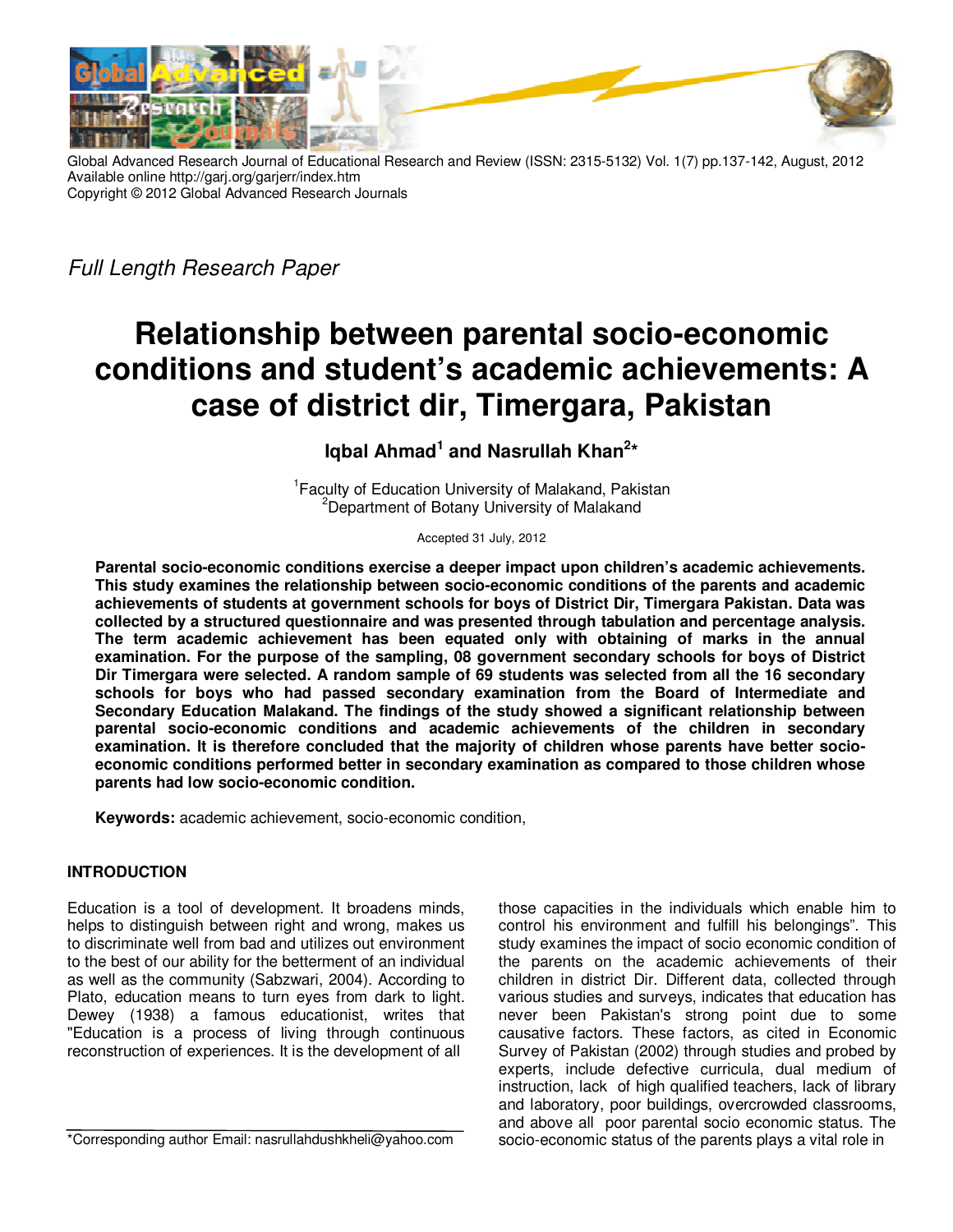

Global Advanced Research Journal of Educational Research and Review (ISSN: 2315-5132) Vol. 1(7) pp.137-142, August, 2012 Available online http://garj.org/garjerr/index.htm Copyright © 2012 Global Advanced Research Journals

*Full Length Research Paper*

# **Relationship between parental socio-economic conditions and student's academic achievements: A case of district dir, Timergara, Pakistan**

**Iqbal Ahmad<sup>1</sup> and Nasrullah Khan<sup>2</sup> \*** 

<sup>1</sup> Faculty of Education University of Malakand, Pakistan <sup>2</sup>Department of Botany University of Malakand

Accepted 31 July, 2012

**Parental socio-economic conditions exercise a deeper impact upon children's academic achievements. This study examines the relationship between socio-economic conditions of the parents and academic achievements of students at government schools for boys of District Dir, Timergara Pakistan. Data was collected by a structured questionnaire and was presented through tabulation and percentage analysis. The term academic achievement has been equated only with obtaining of marks in the annual examination. For the purpose of the sampling, 08 government secondary schools for boys of District Dir Timergara were selected. A random sample of 69 students was selected from all the 16 secondary schools for boys who had passed secondary examination from the Board of Intermediate and Secondary Education Malakand. The findings of the study showed a significant relationship between parental socio-economic conditions and academic achievements of the children in secondary examination. It is therefore concluded that the majority of children whose parents have better socioeconomic conditions performed better in secondary examination as compared to those children whose parents had low socio-economic condition.** 

**Keywords:** academic achievement, socio-economic condition,

## **INTRODUCTION**

Education is a tool of development. It broadens minds, helps to distinguish between right and wrong, makes us to discriminate well from bad and utilizes out environment to the best of our ability for the betterment of an individual as well as the community (Sabzwari, 2004). According to Plato, education means to turn eyes from dark to light. Dewey (1938) a famous educationist, writes that "Education is a process of living through continuous reconstruction of experiences. It is the development of all

\*Corresponding author Email: nasrullahdushkheli@yahoo.com

those capacities in the individuals which enable him to control his environment and fulfill his belongings". This study examines the impact of socio economic condition of the parents on the academic achievements of their children in district Dir. Different data, collected through various studies and surveys, indicates that education has never been Pakistan's strong point due to some causative factors. These factors, as cited in Economic Survey of Pakistan (2002) through studies and probed by experts, include defective curricula, dual medium of instruction, lack of high qualified teachers, lack of library and laboratory, poor buildings, overcrowded classrooms, and above all poor parental socio economic status. The socio-economic status of the parents plays a vital role in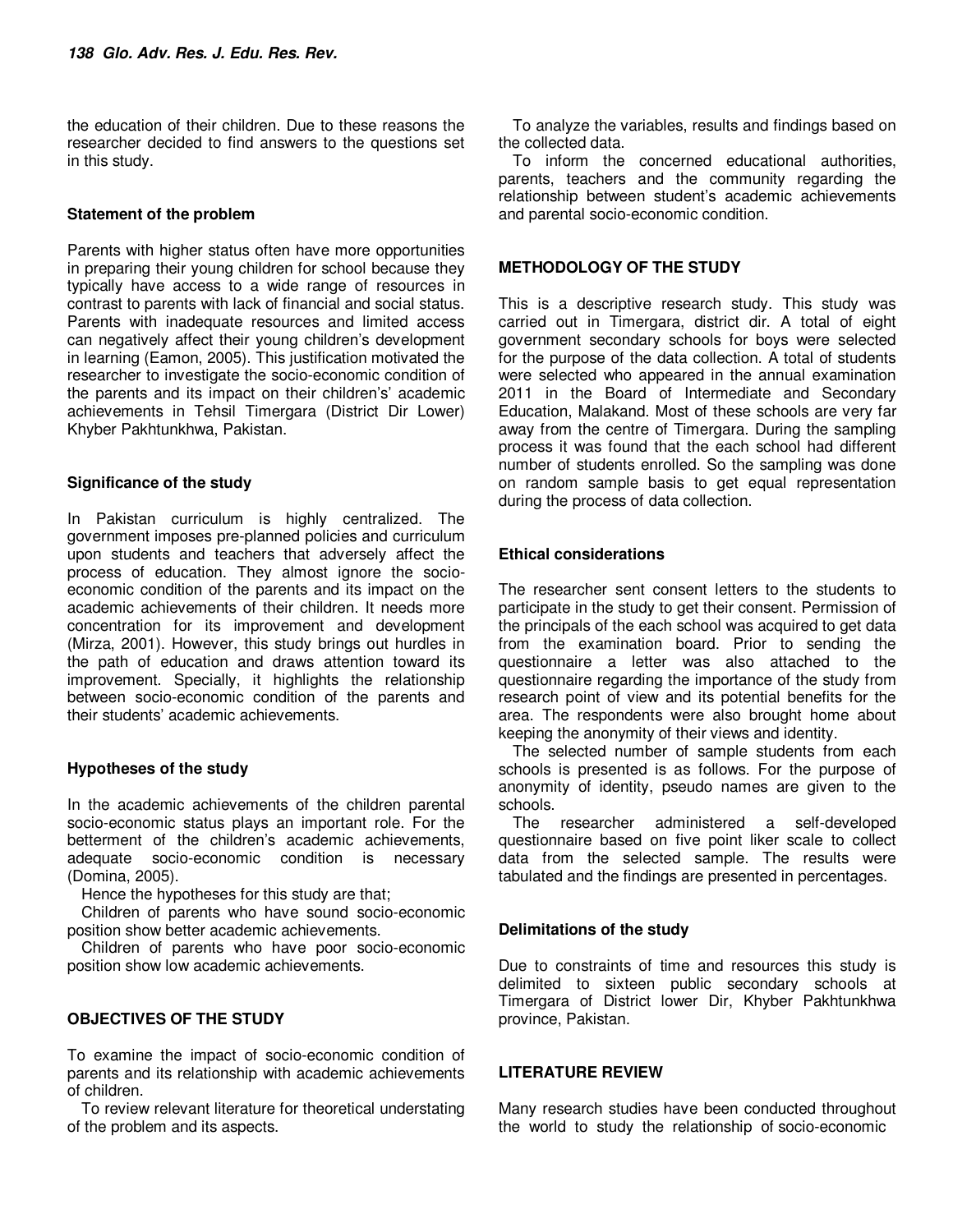the education of their children. Due to these reasons the researcher decided to find answers to the questions set in this study.

## **Statement of the problem**

Parents with higher status often have more opportunities in preparing their young children for school because they typically have access to a wide range of resources in contrast to parents with lack of financial and social status. Parents with inadequate resources and limited access can negatively affect their young children's development in learning (Eamon, 2005). This justification motivated the researcher to investigate the socio-economic condition of the parents and its impact on their children's' academic achievements in Tehsil Timergara (District Dir Lower) Khyber Pakhtunkhwa, Pakistan.

## **Significance of the study**

In Pakistan curriculum is highly centralized. The government imposes pre-planned policies and curriculum upon students and teachers that adversely affect the process of education. They almost ignore the socioeconomic condition of the parents and its impact on the academic achievements of their children. It needs more concentration for its improvement and development (Mirza, 2001). However, this study brings out hurdles in the path of education and draws attention toward its improvement. Specially, it highlights the relationship between socio-economic condition of the parents and their students' academic achievements.

## **Hypotheses of the study**

In the academic achievements of the children parental socio-economic status plays an important role. For the betterment of the children's academic achievements, adequate socio-economic condition is necessary (Domina, 2005).

Hence the hypotheses for this study are that;

Children of parents who have sound socio-economic position show better academic achievements.

Children of parents who have poor socio-economic position show low academic achievements.

## **OBJECTIVES OF THE STUDY**

To examine the impact of socio-economic condition of parents and its relationship with academic achievements of children.

To review relevant literature for theoretical understating of the problem and its aspects.

To analyze the variables, results and findings based on the collected data.

To inform the concerned educational authorities, parents, teachers and the community regarding the relationship between student's academic achievements and parental socio-economic condition.

## **METHODOLOGY OF THE STUDY**

This is a descriptive research study. This study was carried out in Timergara, district dir. A total of eight government secondary schools for boys were selected for the purpose of the data collection. A total of students were selected who appeared in the annual examination 2011 in the Board of Intermediate and Secondary Education, Malakand. Most of these schools are very far away from the centre of Timergara. During the sampling process it was found that the each school had different number of students enrolled. So the sampling was done on random sample basis to get equal representation during the process of data collection.

## **Ethical considerations**

The researcher sent consent letters to the students to participate in the study to get their consent. Permission of the principals of the each school was acquired to get data from the examination board. Prior to sending the questionnaire a letter was also attached to the questionnaire regarding the importance of the study from research point of view and its potential benefits for the area. The respondents were also brought home about keeping the anonymity of their views and identity.

The selected number of sample students from each schools is presented is as follows. For the purpose of anonymity of identity, pseudo names are given to the schools.

The researcher administered a self-developed questionnaire based on five point liker scale to collect data from the selected sample. The results were tabulated and the findings are presented in percentages.

## **Delimitations of the study**

Due to constraints of time and resources this study is delimited to sixteen public secondary schools at Timergara of District lower Dir, Khyber Pakhtunkhwa province, Pakistan.

## **LITERATURE REVIEW**

Many research studies have been conducted throughout the world to study the relationship of socio-economic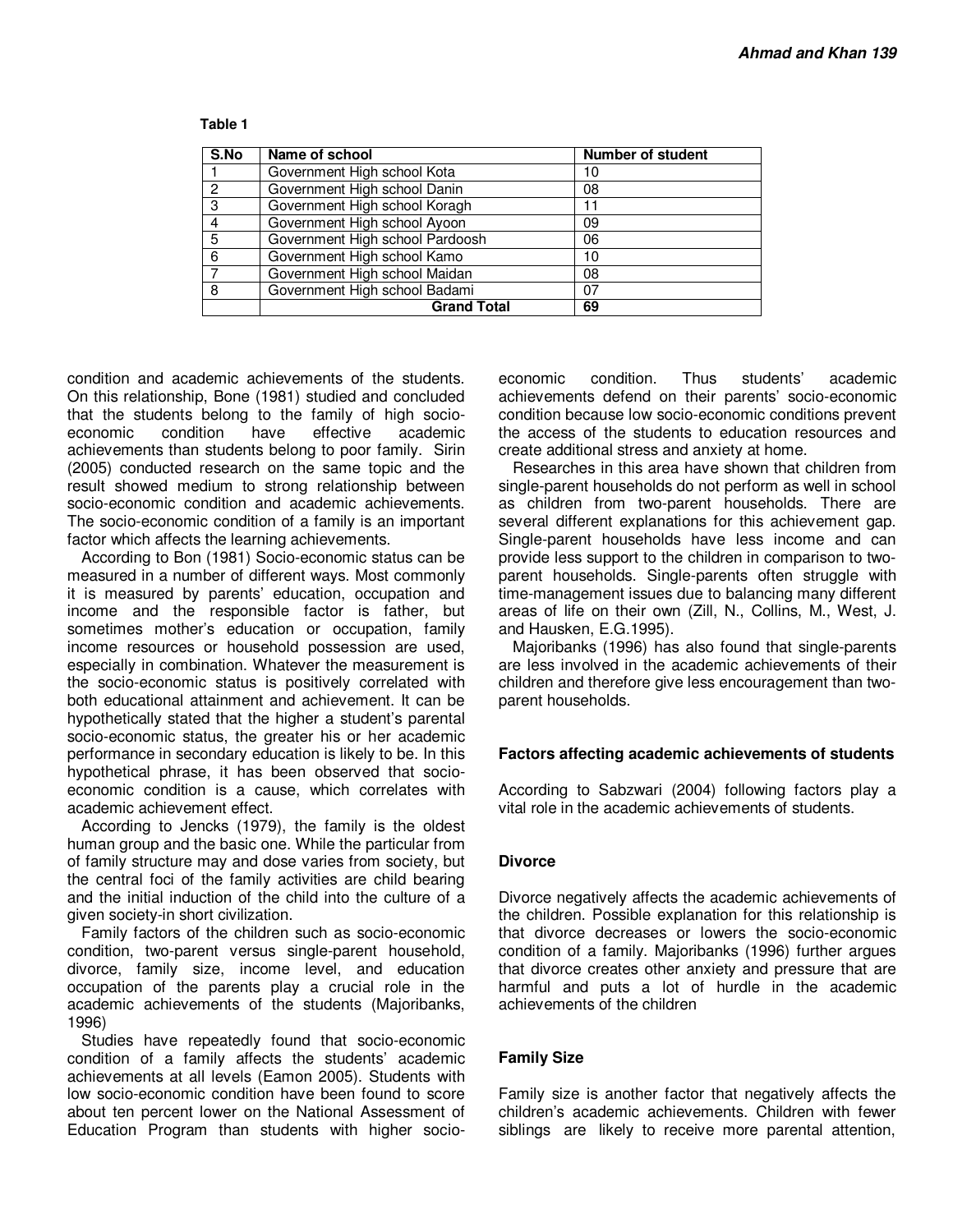| S.No                      | Name of school                  | <b>Number of student</b> |
|---------------------------|---------------------------------|--------------------------|
|                           | Government High school Kota     | 10                       |
| 2                         | Government High school Danin    | 08                       |
| $\overline{\overline{3}}$ | Government High school Koragh   |                          |
| 4                         | Government High school Ayoon    | 09                       |
| 5                         | Government High school Pardoosh | 06                       |
| 6                         | Government High school Kamo     | 10                       |
| 7                         | Government High school Maidan   | 08                       |
| 8                         | Government High school Badami   | 07                       |
|                           | <b>Grand Total</b>              | 69                       |

#### **Table 1**

condition and academic achievements of the students. On this relationship, Bone (1981) studied and concluded that the students belong to the family of high socioeconomic condition have effective academic achievements than students belong to poor family. Sirin (2005) conducted research on the same topic and the result showed medium to strong relationship between socio-economic condition and academic achievements. The socio-economic condition of a family is an important factor which affects the learning achievements.

According to Bon (1981) Socio-economic status can be measured in a number of different ways. Most commonly it is measured by parents' education, occupation and income and the responsible factor is father, but sometimes mother's education or occupation, family income resources or household possession are used, especially in combination. Whatever the measurement is the socio-economic status is positively correlated with both educational attainment and achievement. It can be hypothetically stated that the higher a student's parental socio-economic status, the greater his or her academic performance in secondary education is likely to be. In this hypothetical phrase, it has been observed that socioeconomic condition is a cause, which correlates with academic achievement effect.

According to Jencks (1979), the family is the oldest human group and the basic one. While the particular from of family structure may and dose varies from society, but the central foci of the family activities are child bearing and the initial induction of the child into the culture of a given society-in short civilization.

Family factors of the children such as socio-economic condition, two-parent versus single-parent household, divorce, family size, income level, and education occupation of the parents play a crucial role in the academic achievements of the students (Majoribanks, 1996)

Studies have repeatedly found that socio-economic condition of a family affects the students' academic achievements at all levels (Eamon 2005). Students with low socio-economic condition have been found to score about ten percent lower on the National Assessment of Education Program than students with higher socioeconomic condition. Thus students' academic achievements defend on their parents' socio-economic condition because low socio-economic conditions prevent the access of the students to education resources and create additional stress and anxiety at home.

Researches in this area have shown that children from single-parent households do not perform as well in school as children from two-parent households. There are several different explanations for this achievement gap. Single-parent households have less income and can provide less support to the children in comparison to twoparent households. Single-parents often struggle with time-management issues due to balancing many different areas of life on their own (Zill, N., Collins, M., West, J. and Hausken, E.G.1995).

Majoribanks (1996) has also found that single-parents are less involved in the academic achievements of their children and therefore give less encouragement than twoparent households.

## **Factors affecting academic achievements of students**

According to Sabzwari (2004) following factors play a vital role in the academic achievements of students.

#### **Divorce**

Divorce negatively affects the academic achievements of the children. Possible explanation for this relationship is that divorce decreases or lowers the socio-economic condition of a family. Majoribanks (1996) further argues that divorce creates other anxiety and pressure that are harmful and puts a lot of hurdle in the academic achievements of the children

#### **Family Size**

Family size is another factor that negatively affects the children's academic achievements. Children with fewer siblings are likely to receive more parental attention,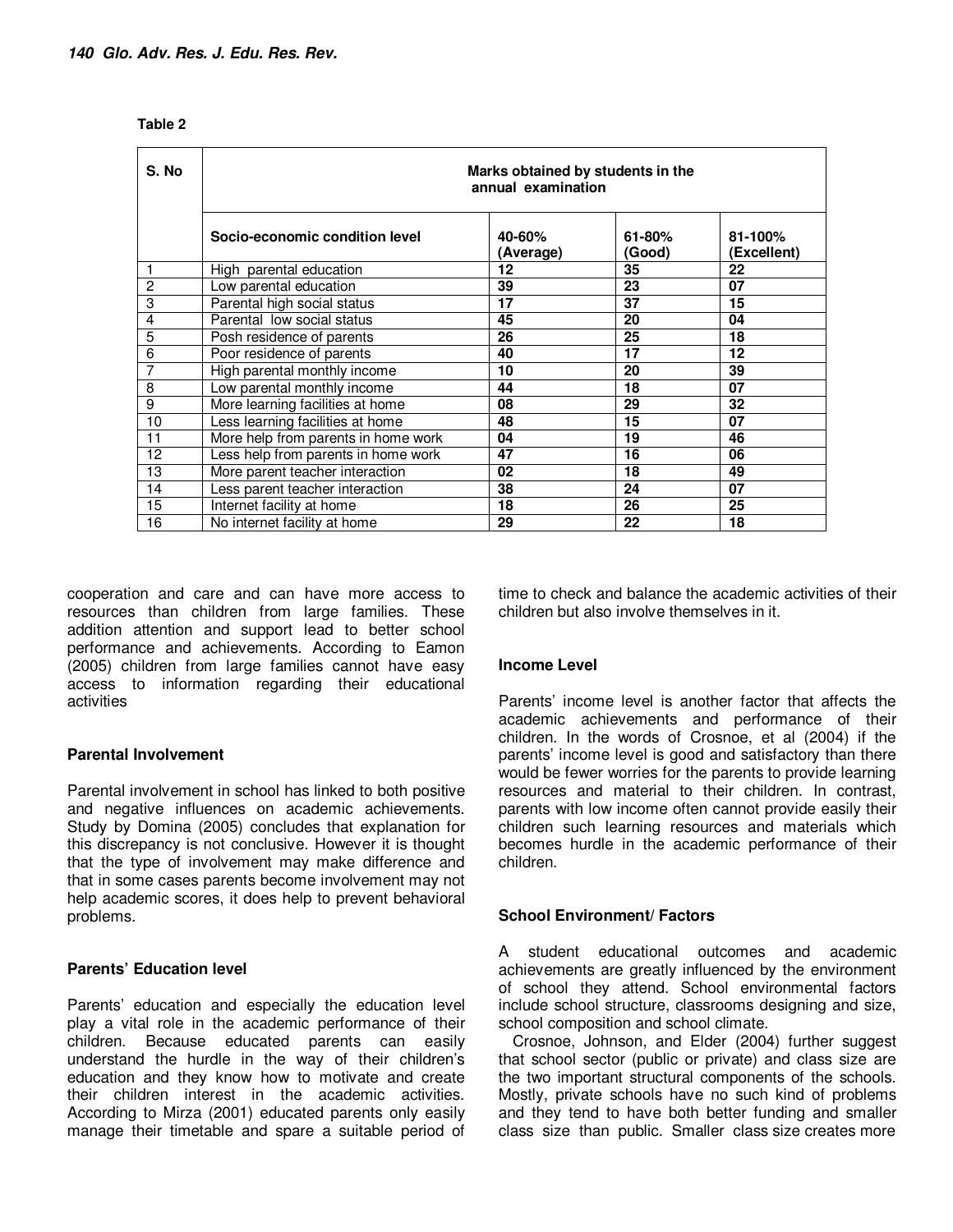| S. No          | Marks obtained by students in the<br>annual examination |                           |                  |                        |  |
|----------------|---------------------------------------------------------|---------------------------|------------------|------------------------|--|
|                | Socio-economic condition level                          | 40-60%<br><b>Average)</b> | 61-80%<br>(Good) | 81-100%<br>(Excellent) |  |
| 1              | High parental education                                 | 12                        | 35               | 22                     |  |
| $\overline{2}$ | Low parental education                                  | 39                        | 23               | 07                     |  |
| 3              | Parental high social status                             | 17                        | 37               | 15                     |  |
| $\overline{4}$ | Parental low social status                              | 45                        | 20               | 04                     |  |
| $\overline{5}$ | Posh residence of parents                               | 26                        | 25               | 18                     |  |
| $\overline{6}$ | Poor residence of parents                               | 40                        | 17               | 12                     |  |
| $\overline{7}$ | High parental monthly income                            | 10                        | 20               | 39                     |  |
| $\overline{8}$ | Low parental monthly income                             | 44                        | 18               | 07                     |  |
| $\overline{9}$ | More learning facilities at home                        | 08                        | 29               | 32                     |  |
| 10             | Less learning facilities at home                        | 48                        | 15               | 07                     |  |
| 11             | More help from parents in home work                     | 04                        | 19               | 46                     |  |
| 12             | Less help from parents in home work                     | 47                        | 16               | 06                     |  |
| 13             | More parent teacher interaction                         | 02                        | 18               | 49                     |  |
| 14             | Less parent teacher interaction                         | 38                        | 24               | 07                     |  |
| 15             | Internet facility at home                               | 18                        | 26               | 25                     |  |
| 16             | No internet facility at home                            | 29                        | 22               | 18                     |  |

| . .<br>I<br>۹ |  |
|---------------|--|
|---------------|--|

cooperation and care and can have more access to resources than children from large families. These addition attention and support lead to better school performance and achievements. According to Eamon (2005) children from large families cannot have easy access to information regarding their educational activities

## **Parental Involvement**

Parental involvement in school has linked to both positive and negative influences on academic achievements. Study by Domina (2005) concludes that explanation for this discrepancy is not conclusive. However it is thought that the type of involvement may make difference and that in some cases parents become involvement may not help academic scores, it does help to prevent behavioral problems.

## **Parents' Education level**

Parents' education and especially the education level play a vital role in the academic performance of their children. Because educated parents can easily understand the hurdle in the way of their children's education and they know how to motivate and create their children interest in the academic activities. According to Mirza (2001) educated parents only easily manage their timetable and spare a suitable period of time to check and balance the academic activities of their children but also involve themselves in it.

## **Income Level**

Parents' income level is another factor that affects the academic achievements and performance of their children. In the words of Crosnoe, et al (2004) if the parents' income level is good and satisfactory than there would be fewer worries for the parents to provide learning resources and material to their children. In contrast, parents with low income often cannot provide easily their children such learning resources and materials which becomes hurdle in the academic performance of their children.

## **School Environment/ Factors**

A student educational outcomes and academic achievements are greatly influenced by the environment of school they attend. School environmental factors include school structure, classrooms designing and size, school composition and school climate.

Crosnoe, Johnson, and Elder (2004) further suggest that school sector (public or private) and class size are the two important structural components of the schools. Mostly, private schools have no such kind of problems and they tend to have both better funding and smaller class size than public. Smaller class size creates more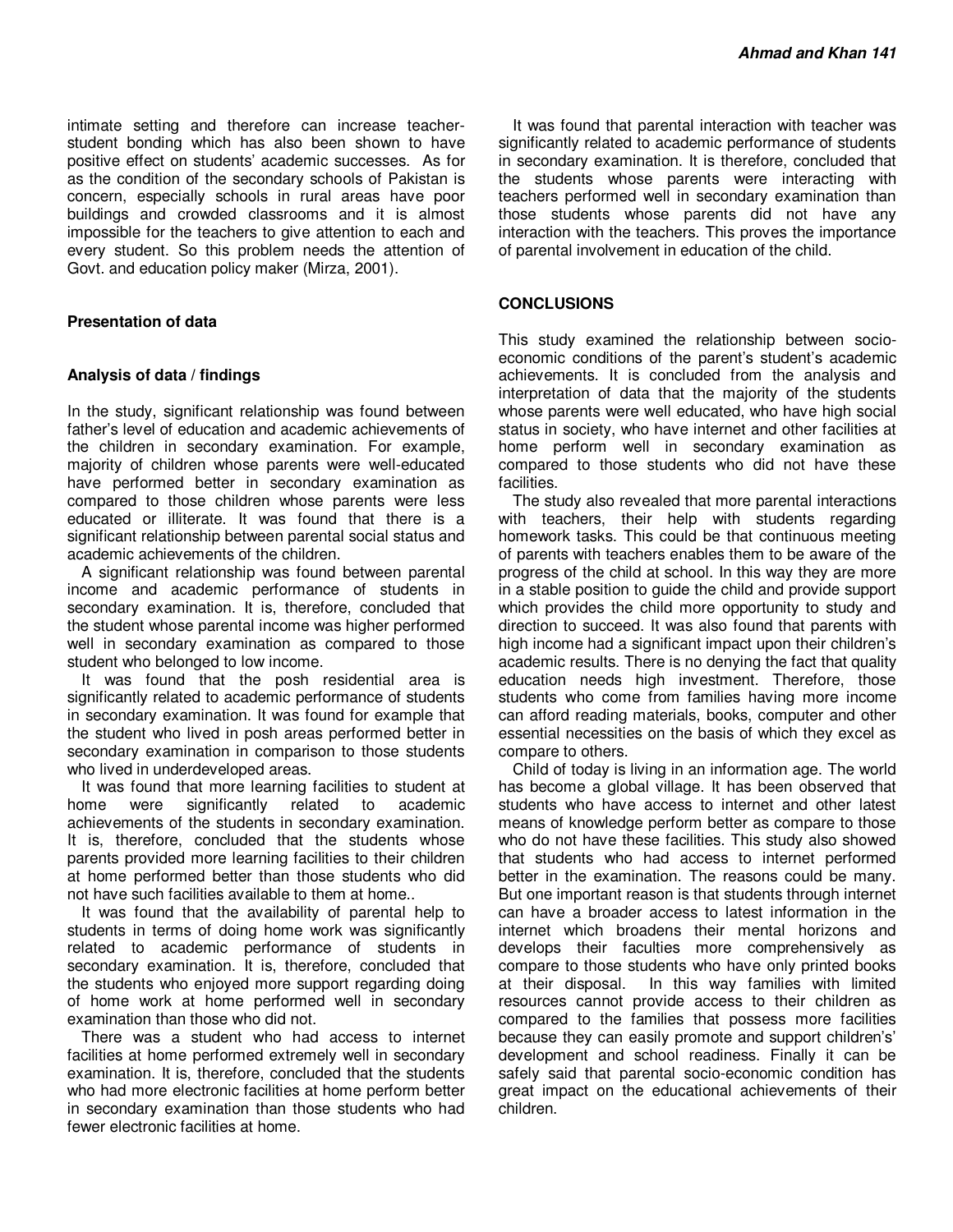intimate setting and therefore can increase teacherstudent bonding which has also been shown to have positive effect on students' academic successes. As for as the condition of the secondary schools of Pakistan is concern, especially schools in rural areas have poor buildings and crowded classrooms and it is almost impossible for the teachers to give attention to each and every student. So this problem needs the attention of Govt. and education policy maker (Mirza, 2001).

## **Presentation of data**

#### **Analysis of data / findings**

In the study, significant relationship was found between father's level of education and academic achievements of the children in secondary examination. For example, majority of children whose parents were well-educated have performed better in secondary examination as compared to those children whose parents were less educated or illiterate. It was found that there is a significant relationship between parental social status and academic achievements of the children.

A significant relationship was found between parental income and academic performance of students in secondary examination. It is, therefore, concluded that the student whose parental income was higher performed well in secondary examination as compared to those student who belonged to low income.

It was found that the posh residential area is significantly related to academic performance of students in secondary examination. It was found for example that the student who lived in posh areas performed better in secondary examination in comparison to those students who lived in underdeveloped areas.

It was found that more learning facilities to student at home were significantly related to academic achievements of the students in secondary examination. It is, therefore, concluded that the students whose parents provided more learning facilities to their children at home performed better than those students who did not have such facilities available to them at home..

It was found that the availability of parental help to students in terms of doing home work was significantly related to academic performance of students in secondary examination. It is, therefore, concluded that the students who enjoyed more support regarding doing of home work at home performed well in secondary examination than those who did not.

There was a student who had access to internet facilities at home performed extremely well in secondary examination. It is, therefore, concluded that the students who had more electronic facilities at home perform better in secondary examination than those students who had fewer electronic facilities at home.

It was found that parental interaction with teacher was significantly related to academic performance of students in secondary examination. It is therefore, concluded that the students whose parents were interacting with teachers performed well in secondary examination than those students whose parents did not have any interaction with the teachers. This proves the importance of parental involvement in education of the child.

## **CONCLUSIONS**

This study examined the relationship between socioeconomic conditions of the parent's student's academic achievements. It is concluded from the analysis and interpretation of data that the majority of the students whose parents were well educated, who have high social status in society, who have internet and other facilities at home perform well in secondary examination as compared to those students who did not have these facilities.

The study also revealed that more parental interactions with teachers, their help with students regarding homework tasks. This could be that continuous meeting of parents with teachers enables them to be aware of the progress of the child at school. In this way they are more in a stable position to guide the child and provide support which provides the child more opportunity to study and direction to succeed. It was also found that parents with high income had a significant impact upon their children's academic results. There is no denying the fact that quality education needs high investment. Therefore, those students who come from families having more income can afford reading materials, books, computer and other essential necessities on the basis of which they excel as compare to others.

Child of today is living in an information age. The world has become a global village. It has been observed that students who have access to internet and other latest means of knowledge perform better as compare to those who do not have these facilities. This study also showed that students who had access to internet performed better in the examination. The reasons could be many. But one important reason is that students through internet can have a broader access to latest information in the internet which broadens their mental horizons and develops their faculties more comprehensively as compare to those students who have only printed books at their disposal. In this way families with limited resources cannot provide access to their children as compared to the families that possess more facilities because they can easily promote and support children's' development and school readiness. Finally it can be safely said that parental socio-economic condition has great impact on the educational achievements of their children.